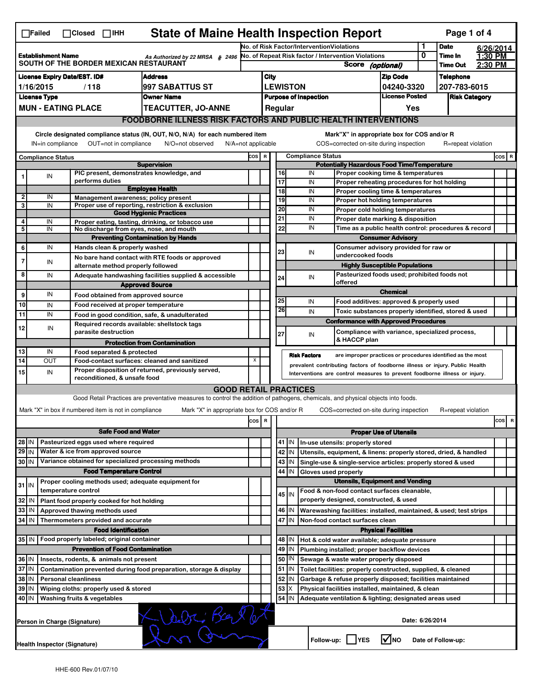| <b>State of Maine Health Inspection Report</b><br>Page 1 of 4<br>$\Box$ Closed $\Box$ IHH<br>$\Box$ Failed |                                                                                         |                                     |                                                       |                                                                                                                                                                   |                                                                                                                                                            |                                           |                                                     |                                                                                       |                                                                                                        |                                                                                                       |                               |                      |                    |           |                                |
|------------------------------------------------------------------------------------------------------------|-----------------------------------------------------------------------------------------|-------------------------------------|-------------------------------------------------------|-------------------------------------------------------------------------------------------------------------------------------------------------------------------|------------------------------------------------------------------------------------------------------------------------------------------------------------|-------------------------------------------|-----------------------------------------------------|---------------------------------------------------------------------------------------|--------------------------------------------------------------------------------------------------------|-------------------------------------------------------------------------------------------------------|-------------------------------|----------------------|--------------------|-----------|--------------------------------|
| <b>Establishment Name</b><br>As Authorized by 22 MRSA § 2496<br>SOUTH OF THE BORDER MEXICAN RESTAURANT     |                                                                                         |                                     |                                                       |                                                                                                                                                                   |                                                                                                                                                            | No. of Risk Factor/InterventionViolations |                                                     |                                                                                       |                                                                                                        |                                                                                                       | 1                             | <b>Date</b>          |                    | 6/26/2014 |                                |
|                                                                                                            |                                                                                         |                                     |                                                       |                                                                                                                                                                   |                                                                                                                                                            |                                           | No. of Repeat Risk factor / Intervention Violations |                                                                                       |                                                                                                        |                                                                                                       | 0                             | Time In              | 1:30 PM            |           |                                |
|                                                                                                            |                                                                                         |                                     |                                                       |                                                                                                                                                                   |                                                                                                                                                            |                                           |                                                     |                                                                                       |                                                                                                        | <b>Score</b>                                                                                          | (optional)                    |                      | <b>Time Out</b>    | 2:30 PM   |                                |
|                                                                                                            |                                                                                         | <b>License Expiry Date/EST. ID#</b> |                                                       | <b>Address</b>                                                                                                                                                    |                                                                                                                                                            | City                                      |                                                     |                                                                                       |                                                                                                        |                                                                                                       | <b>Zip Code</b>               |                      | <b>Telephone</b>   |           |                                |
| 1997 SABATTUS ST<br>1/16/2015<br>/118                                                                      |                                                                                         |                                     |                                                       |                                                                                                                                                                   |                                                                                                                                                            |                                           |                                                     | <b>LEWISTON</b>                                                                       |                                                                                                        |                                                                                                       | 04240-3320                    |                      | 207-783-6015       |           |                                |
|                                                                                                            | <b>License Type</b>                                                                     |                                     |                                                       | <b>Owner Name</b>                                                                                                                                                 |                                                                                                                                                            |                                           |                                                     | <b>Purpose of Inspection</b>                                                          |                                                                                                        | <b>License Posted</b>                                                                                 |                               | <b>Risk Category</b> |                    |           |                                |
|                                                                                                            |                                                                                         | <b>MUN - EATING PLACE</b>           |                                                       | <b>TEACUTTER, JO-ANNE</b>                                                                                                                                         |                                                                                                                                                            | Regular<br>Yes                            |                                                     |                                                                                       |                                                                                                        |                                                                                                       |                               |                      |                    |           |                                |
|                                                                                                            | <b>FOODBORNE ILLNESS RISK FACTORS AND PUBLIC HEALTH INTERVENTIONS</b>                   |                                     |                                                       |                                                                                                                                                                   |                                                                                                                                                            |                                           |                                                     |                                                                                       |                                                                                                        |                                                                                                       |                               |                      |                    |           |                                |
|                                                                                                            | Circle designated compliance status (IN, OUT, N/O, N/A) for each numbered item          |                                     |                                                       |                                                                                                                                                                   |                                                                                                                                                            |                                           |                                                     | Mark"X" in appropriate box for COS and/or R                                           |                                                                                                        |                                                                                                       |                               |                      |                    |           |                                |
|                                                                                                            | OUT=not in compliance<br>IN=in compliance<br>N/O=not observed<br>$N/A = not$ applicable |                                     |                                                       |                                                                                                                                                                   |                                                                                                                                                            |                                           |                                                     |                                                                                       |                                                                                                        | COS=corrected on-site during inspection                                                               |                               |                      | R=repeat violation |           |                                |
|                                                                                                            |                                                                                         |                                     |                                                       |                                                                                                                                                                   |                                                                                                                                                            | <b>Compliance Status</b><br>COS R         |                                                     |                                                                                       |                                                                                                        |                                                                                                       |                               |                      |                    |           | $\cos   R$                     |
|                                                                                                            | <b>Compliance Status</b>                                                                |                                     |                                                       | <b>Supervision</b>                                                                                                                                                |                                                                                                                                                            |                                           |                                                     | <b>Potentially Hazardous Food Time/Temperature</b>                                    |                                                                                                        |                                                                                                       |                               |                      |                    |           |                                |
|                                                                                                            | IN                                                                                      |                                     |                                                       | PIC present, demonstrates knowledge, and                                                                                                                          |                                                                                                                                                            |                                           | 16                                                  |                                                                                       | IN                                                                                                     | Proper cooking time & temperatures                                                                    |                               |                      |                    |           |                                |
|                                                                                                            |                                                                                         | performs duties                     |                                                       |                                                                                                                                                                   |                                                                                                                                                            |                                           | 17                                                  |                                                                                       | IN                                                                                                     | Proper reheating procedures for hot holding                                                           |                               |                      |                    |           |                                |
|                                                                                                            |                                                                                         |                                     |                                                       | <b>Employee Health</b>                                                                                                                                            |                                                                                                                                                            |                                           | 18                                                  |                                                                                       | IN                                                                                                     | Proper cooling time & temperatures                                                                    |                               |                      |                    |           |                                |
| $\overline{2}$<br>3                                                                                        | IN<br>IN                                                                                |                                     |                                                       | Management awareness; policy present<br>Proper use of reporting, restriction & exclusion                                                                          |                                                                                                                                                            |                                           | 19                                                  |                                                                                       | IN                                                                                                     | <b>Proper hot holding temperatures</b>                                                                |                               |                      |                    |           |                                |
|                                                                                                            |                                                                                         |                                     |                                                       | <b>Good Hygienic Practices</b>                                                                                                                                    |                                                                                                                                                            |                                           | 20                                                  |                                                                                       | IN                                                                                                     | Proper cold holding temperatures                                                                      |                               |                      |                    |           |                                |
| 4                                                                                                          | IN                                                                                      |                                     |                                                       | Proper eating, tasting, drinking, or tobacco use                                                                                                                  |                                                                                                                                                            |                                           | 21                                                  |                                                                                       | IN                                                                                                     | Proper date marking & disposition                                                                     |                               |                      |                    |           |                                |
| 5                                                                                                          | IN                                                                                      |                                     |                                                       | No discharge from eyes, nose, and mouth                                                                                                                           |                                                                                                                                                            |                                           | 22                                                  |                                                                                       | IN                                                                                                     | Time as a public health control: procedures & record                                                  |                               |                      |                    |           |                                |
|                                                                                                            |                                                                                         |                                     |                                                       | <b>Preventing Contamination by Hands</b>                                                                                                                          |                                                                                                                                                            |                                           |                                                     |                                                                                       |                                                                                                        | <b>Consumer Advisory</b>                                                                              |                               |                      |                    |           |                                |
| 6                                                                                                          | IN                                                                                      |                                     | Hands clean & properly washed                         |                                                                                                                                                                   |                                                                                                                                                            |                                           | 23                                                  |                                                                                       | IN                                                                                                     | Consumer advisory provided for raw or<br>undercooked foods                                            |                               |                      |                    |           |                                |
| 7                                                                                                          | IN                                                                                      |                                     |                                                       | No bare hand contact with RTE foods or approved                                                                                                                   |                                                                                                                                                            |                                           |                                                     |                                                                                       |                                                                                                        | <b>Highly Susceptible Populations</b>                                                                 |                               |                      |                    |           |                                |
| 8                                                                                                          | IN                                                                                      |                                     | alternate method properly followed                    | Adequate handwashing facilities supplied & accessible                                                                                                             |                                                                                                                                                            |                                           |                                                     |                                                                                       |                                                                                                        | Pasteurized foods used; prohibited foods not                                                          |                               |                      |                    |           |                                |
|                                                                                                            |                                                                                         |                                     |                                                       | <b>Approved Source</b>                                                                                                                                            |                                                                                                                                                            |                                           | 24                                                  |                                                                                       | IN                                                                                                     | offered                                                                                               |                               |                      |                    |           |                                |
| 9                                                                                                          | IN                                                                                      |                                     | Food obtained from approved source                    |                                                                                                                                                                   |                                                                                                                                                            |                                           |                                                     |                                                                                       |                                                                                                        |                                                                                                       | <b>Chemical</b>               |                      |                    |           |                                |
| 10                                                                                                         | IN                                                                                      |                                     | Food received at proper temperature                   |                                                                                                                                                                   |                                                                                                                                                            |                                           | 25                                                  |                                                                                       | IN                                                                                                     | Food additives: approved & properly used                                                              |                               |                      |                    |           |                                |
| 11                                                                                                         | IN                                                                                      |                                     |                                                       | Food in good condition, safe, & unadulterated                                                                                                                     |                                                                                                                                                            |                                           | 26                                                  |                                                                                       | IN                                                                                                     | Toxic substances properly identified, stored & used                                                   |                               |                      |                    |           |                                |
|                                                                                                            |                                                                                         |                                     |                                                       | Required records available: shellstock tags                                                                                                                       |                                                                                                                                                            |                                           |                                                     |                                                                                       |                                                                                                        | <b>Conformance with Approved Procedures</b>                                                           |                               |                      |                    |           |                                |
| 12                                                                                                         | IN                                                                                      |                                     | parasite destruction                                  |                                                                                                                                                                   |                                                                                                                                                            |                                           | 27                                                  |                                                                                       | IN                                                                                                     | Compliance with variance, specialized process,                                                        |                               |                      |                    |           |                                |
|                                                                                                            |                                                                                         |                                     |                                                       | <b>Protection from Contamination</b>                                                                                                                              |                                                                                                                                                            |                                           |                                                     |                                                                                       |                                                                                                        | & HACCP plan                                                                                          |                               |                      |                    |           |                                |
| 13                                                                                                         | IN                                                                                      |                                     | Food separated & protected                            |                                                                                                                                                                   |                                                                                                                                                            |                                           |                                                     |                                                                                       | <b>Risk Factors</b>                                                                                    | are improper practices or procedures identified as the most                                           |                               |                      |                    |           |                                |
| 14                                                                                                         | <b>OUT</b>                                                                              |                                     |                                                       | Food-contact surfaces: cleaned and sanitized                                                                                                                      | X                                                                                                                                                          |                                           |                                                     |                                                                                       |                                                                                                        |                                                                                                       |                               |                      |                    |           |                                |
| 15                                                                                                         | IN                                                                                      |                                     |                                                       | Proper disposition of returned, previously served,                                                                                                                | prevalent contributing factors of foodborne illness or injury. Public Health<br>Interventions are control measures to prevent foodborne illness or injury. |                                           |                                                     |                                                                                       |                                                                                                        |                                                                                                       |                               |                      |                    |           |                                |
|                                                                                                            |                                                                                         |                                     | reconditioned, & unsafe food                          |                                                                                                                                                                   |                                                                                                                                                            |                                           |                                                     |                                                                                       |                                                                                                        |                                                                                                       |                               |                      |                    |           |                                |
|                                                                                                            |                                                                                         |                                     |                                                       | <b>GOOD RETAIL PRACTICES</b><br>Good Retail Practices are preventative measures to control the addition of pathogens, chemicals, and physical objects into foods. |                                                                                                                                                            |                                           |                                                     |                                                                                       |                                                                                                        |                                                                                                       |                               |                      |                    |           |                                |
|                                                                                                            |                                                                                         |                                     |                                                       |                                                                                                                                                                   |                                                                                                                                                            |                                           |                                                     |                                                                                       |                                                                                                        |                                                                                                       |                               |                      |                    |           |                                |
|                                                                                                            |                                                                                         |                                     | Mark "X" in box if numbered item is not in compliance | Mark "X" in appropriate box for COS and/or R                                                                                                                      |                                                                                                                                                            |                                           |                                                     |                                                                                       |                                                                                                        | COS=corrected on-site during inspection                                                               |                               |                      | R=repeat violation |           |                                |
|                                                                                                            |                                                                                         |                                     |                                                       |                                                                                                                                                                   | cos                                                                                                                                                        | $\mathbf R$                               |                                                     |                                                                                       |                                                                                                        |                                                                                                       |                               |                      |                    |           | cos<br>$\overline{\mathbf{R}}$ |
|                                                                                                            |                                                                                         |                                     | <b>Safe Food and Water</b>                            |                                                                                                                                                                   |                                                                                                                                                            |                                           |                                                     |                                                                                       |                                                                                                        |                                                                                                       | <b>Proper Use of Utensils</b> |                      |                    |           |                                |
| Pasteurized eggs used where required<br>28 IN                                                              |                                                                                         |                                     |                                                       |                                                                                                                                                                   |                                                                                                                                                            |                                           |                                                     | 41 J IN                                                                               |                                                                                                        | In-use utensils: properly stored                                                                      |                               |                      |                    |           |                                |
| 29 IN                                                                                                      |                                                                                         |                                     | Water & ice from approved source                      |                                                                                                                                                                   |                                                                                                                                                            |                                           | 42                                                  | IN                                                                                    |                                                                                                        | Utensils, equipment, & linens: properly stored, dried, & handled                                      |                               |                      |                    |           |                                |
| Variance obtained for specialized processing methods<br>30 IN                                              |                                                                                         |                                     |                                                       |                                                                                                                                                                   |                                                                                                                                                            |                                           | 43                                                  | IN                                                                                    |                                                                                                        | Single-use & single-service articles: properly stored & used                                          |                               |                      |                    |           |                                |
|                                                                                                            |                                                                                         |                                     | <b>Food Temperature Control</b>                       |                                                                                                                                                                   |                                                                                                                                                            |                                           | IN<br>44<br>Gloves used properly                    |                                                                                       |                                                                                                        |                                                                                                       |                               |                      |                    |           |                                |
| $31$ M                                                                                                     |                                                                                         |                                     |                                                       | Proper cooling methods used; adequate equipment for                                                                                                               |                                                                                                                                                            |                                           |                                                     | <b>Utensils, Equipment and Vending</b><br>Food & non-food contact surfaces cleanable, |                                                                                                        |                                                                                                       |                               |                      |                    |           |                                |
|                                                                                                            |                                                                                         | temperature control                 |                                                       |                                                                                                                                                                   |                                                                                                                                                            |                                           |                                                     | 45 M                                                                                  |                                                                                                        | properly designed, constructed, & used                                                                |                               |                      |                    |           |                                |
| 32                                                                                                         | l IN                                                                                    |                                     | Plant food properly cooked for hot holding            |                                                                                                                                                                   |                                                                                                                                                            |                                           |                                                     |                                                                                       |                                                                                                        |                                                                                                       |                               |                      |                    |           |                                |
| 33<br>34 IN                                                                                                | IN                                                                                      | Approved thawing methods used       | Thermometers provided and accurate                    |                                                                                                                                                                   |                                                                                                                                                            |                                           | 47                                                  | 46   IN<br>IN                                                                         |                                                                                                        | Warewashing facilities: installed, maintained, & used; test strips<br>Non-food contact surfaces clean |                               |                      |                    |           |                                |
|                                                                                                            |                                                                                         |                                     | <b>Food Identification</b>                            |                                                                                                                                                                   |                                                                                                                                                            |                                           |                                                     |                                                                                       |                                                                                                        |                                                                                                       |                               |                      |                    |           |                                |
| 35 IN                                                                                                      |                                                                                         |                                     | Food properly labeled; original container             |                                                                                                                                                                   |                                                                                                                                                            |                                           | 48                                                  |                                                                                       |                                                                                                        |                                                                                                       | <b>Physical Facilities</b>    |                      |                    |           |                                |
|                                                                                                            |                                                                                         |                                     | <b>Prevention of Food Contamination</b>               |                                                                                                                                                                   |                                                                                                                                                            |                                           | 49                                                  | IN<br>IN                                                                              |                                                                                                        | Hot & cold water available; adequate pressure<br>Plumbing installed; proper backflow devices          |                               |                      |                    |           |                                |
|                                                                                                            |                                                                                         |                                     |                                                       |                                                                                                                                                                   |                                                                                                                                                            |                                           | 50                                                  | IN                                                                                    |                                                                                                        |                                                                                                       |                               |                      |                    |           |                                |
| 36 IN<br>Insects, rodents, & animals not present<br>37 IN                                                  |                                                                                         |                                     |                                                       |                                                                                                                                                                   |                                                                                                                                                            | 51                                        | IN                                                  |                                                                                       | Sewage & waste water properly disposed<br>Toilet facilities: properly constructed, supplied, & cleaned |                                                                                                       |                               |                      |                    |           |                                |
| Contamination prevented during food preparation, storage & display<br>38 IN<br><b>Personal cleanliness</b> |                                                                                         |                                     |                                                       |                                                                                                                                                                   |                                                                                                                                                            | 52                                        | IN                                                  |                                                                                       | Garbage & refuse properly disposed; facilities maintained                                              |                                                                                                       |                               |                      |                    |           |                                |
| 39 IN<br>Wiping cloths: properly used & stored                                                             |                                                                                         |                                     |                                                       |                                                                                                                                                                   |                                                                                                                                                            |                                           | 53                                                  | X                                                                                     |                                                                                                        | Physical facilities installed, maintained, & clean                                                    |                               |                      |                    |           |                                |
| 40 IN                                                                                                      |                                                                                         |                                     |                                                       |                                                                                                                                                                   |                                                                                                                                                            |                                           | 54                                                  | IN                                                                                    |                                                                                                        |                                                                                                       |                               |                      |                    |           |                                |
|                                                                                                            | Washing fruits & vegetables<br>Adequate ventilation & lighting; designated areas used   |                                     |                                                       |                                                                                                                                                                   |                                                                                                                                                            |                                           |                                                     |                                                                                       |                                                                                                        |                                                                                                       |                               |                      |                    |           |                                |
|                                                                                                            | Delri Bertlet<br>Person in Charge (Signature)                                           |                                     |                                                       |                                                                                                                                                                   |                                                                                                                                                            |                                           | Date: 6/26/2014                                     |                                                                                       |                                                                                                        |                                                                                                       |                               |                      |                    |           |                                |
|                                                                                                            | <b>Health Inspector (Signature)</b>                                                     |                                     |                                                       |                                                                                                                                                                   |                                                                                                                                                            |                                           |                                                     |                                                                                       |                                                                                                        | Follow-up:   YES                                                                                      | l√lno                         |                      | Date of Follow-up: |           |                                |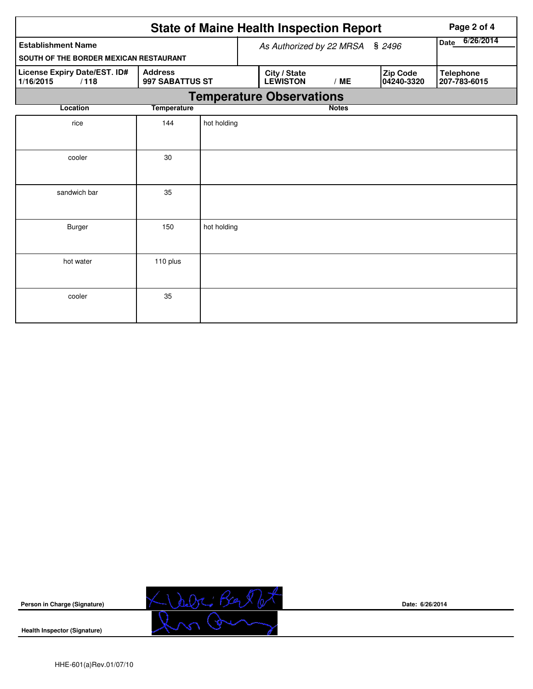|                                                                                        |          |                                 |                          | <b>State of Maine Health Inspection Report</b> | Page 2 of 4  |     |                        |                                  |  |  |  |  |
|----------------------------------------------------------------------------------------|----------|---------------------------------|--------------------------|------------------------------------------------|--------------|-----|------------------------|----------------------------------|--|--|--|--|
| <b>Establishment Name</b>                                                              |          | As Authorized by 22 MRSA § 2496 | 6/26/2014<br><b>Date</b> |                                                |              |     |                        |                                  |  |  |  |  |
| SOUTH OF THE BORDER MEXICAN RESTAURANT                                                 |          |                                 |                          |                                                |              |     |                        |                                  |  |  |  |  |
| License Expiry Date/EST. ID#<br><b>Address</b><br>1/16/2015<br>997 SABATTUS ST<br>/118 |          |                                 |                          | City / State<br><b>LEWISTON</b>                |              | /ME | Zip Code<br>04240-3320 | <b>Telephone</b><br>207-783-6015 |  |  |  |  |
|                                                                                        |          |                                 |                          | <b>Temperature Observations</b>                |              |     |                        |                                  |  |  |  |  |
| <b>Temperature</b><br>Location                                                         |          |                                 |                          |                                                | <b>Notes</b> |     |                        |                                  |  |  |  |  |
| rice                                                                                   | 144      | hot holding                     |                          |                                                |              |     |                        |                                  |  |  |  |  |
| cooler                                                                                 | 30       |                                 |                          |                                                |              |     |                        |                                  |  |  |  |  |
| sandwich bar                                                                           | 35       |                                 |                          |                                                |              |     |                        |                                  |  |  |  |  |
| <b>Burger</b>                                                                          | 150      | hot holding                     |                          |                                                |              |     |                        |                                  |  |  |  |  |
| hot water                                                                              | 110 plus |                                 |                          |                                                |              |     |                        |                                  |  |  |  |  |
| cooler                                                                                 | 35       |                                 |                          |                                                |              |     |                        |                                  |  |  |  |  |



**Date: 6/26/2014**

**Health Inspector (Signature)**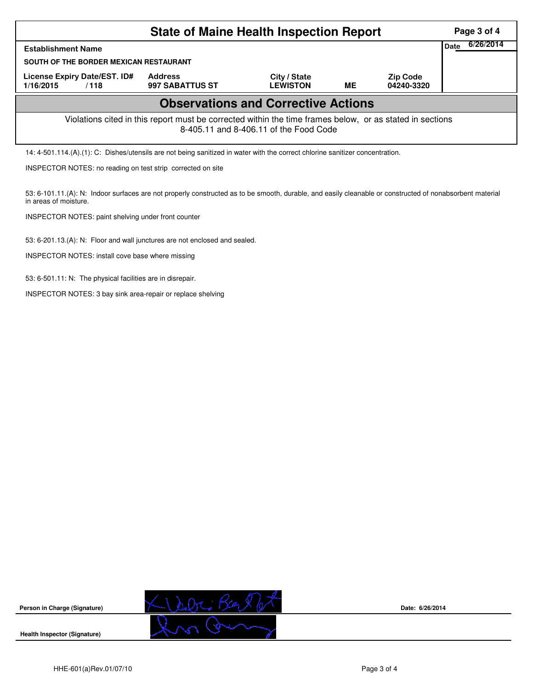| <b>State of Maine Health Inspection Report</b>                                                                                                        |                                   |                                 |    |                               |  |  |  |  |  |
|-------------------------------------------------------------------------------------------------------------------------------------------------------|-----------------------------------|---------------------------------|----|-------------------------------|--|--|--|--|--|
| <b>Establishment Name</b>                                                                                                                             |                                   |                                 |    |                               |  |  |  |  |  |
| SOUTH OF THE BORDER MEXICAN RESTAURANT                                                                                                                |                                   |                                 |    |                               |  |  |  |  |  |
| License Expiry Date/EST. ID#<br>1/16/2015<br>/118                                                                                                     | <b>Address</b><br>997 SABATTUS ST | City / State<br><b>LEWISTON</b> | ME | <b>Zip Code</b><br>04240-3320 |  |  |  |  |  |
| <b>Observations and Corrective Actions</b>                                                                                                            |                                   |                                 |    |                               |  |  |  |  |  |
| Violations cited in this report must be corrected within the time frames below, or as stated in sections<br>8-405.11 and 8-406.11 of the Food Code    |                                   |                                 |    |                               |  |  |  |  |  |
| 14: 4-501.114.(A).(1): C: Dishes/utensils are not being sanitized in water with the correct chlorine sanitizer concentration.                         |                                   |                                 |    |                               |  |  |  |  |  |
| INSPECTOR NOTES: no reading on test strip corrected on site                                                                                           |                                   |                                 |    |                               |  |  |  |  |  |
| $53.610111(A)$ . N: Indoor surfaces are not properly constructed as to be smooth durable and easily cleanable or constructed of nonabsorbent material |                                   |                                 |    |                               |  |  |  |  |  |

ces are not properly constructed as to be smooth, durable, and easily cleanable or constructed of nonabsorbent ma in areas of moisture.

INSPECTOR NOTES: paint shelving under front counter

53: 6-201.13.(A): N: Floor and wall junctures are not enclosed and sealed.

INSPECTOR NOTES: install cove base where missing

53: 6-501.11: N: The physical facilities are in disrepair.

INSPECTOR NOTES: 3 bay sink area-repair or replace shelving





**Date: 6/26/2014**